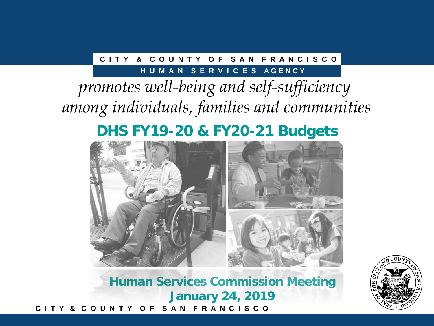#### **C I T Y & C O U N T Y O F S A N F R A N C I S C O**

#### **H U M A N S E R V I C E S A G E N C Y**

# *promotes well-being and self-sufficiency among individuals, families and communities*

## **DHS FY19-20 & FY20-21 Budgets**



**C I T Y & C O U N T Y O F S A N F R A N C I S C O Human Services Commission Meeting January 24, 2019**

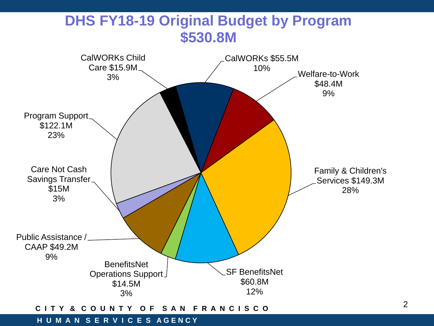

#### **C I T Y & C O U N T Y O F S A N F R A N C I S C O**

#### **H U M A N S E R V I C E S A G E N C Y**

2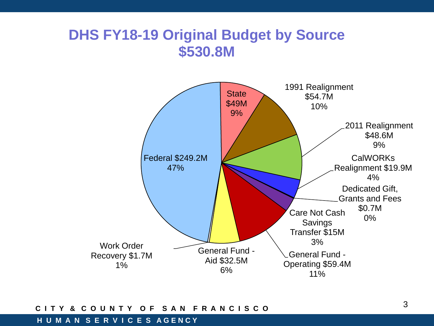### **DHS FY18-19 Original Budget by Source \$530.8M**



#### **C I T Y & C O U N T Y O F S A N F R A N C I S C O**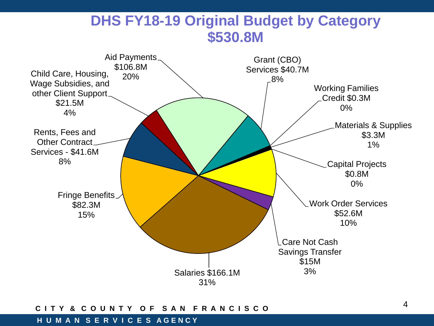### **DHS FY18-19 Original Budget by Category \$530.8M**



#### **C I T Y & C O U N T Y O F S A N F R A N C I S C O**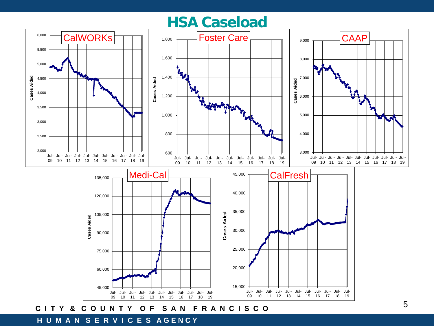### **HSA Caseload**

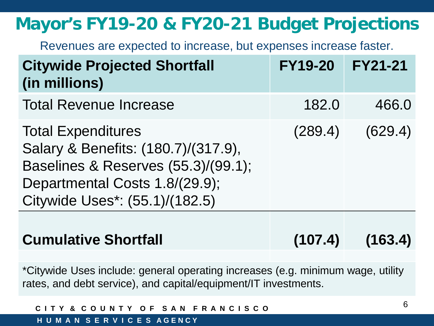# **Mayor's FY19-20 & FY20-21 Budget Projections**

Revenues are expected to increase, but expenses increase faster.

| <b>Citywide Projected Shortfall</b><br>(in millions)                                                                                                                        | <b>FY19-20</b> | <b>FY21-21</b> |
|-----------------------------------------------------------------------------------------------------------------------------------------------------------------------------|----------------|----------------|
| <b>Total Revenue Increase</b>                                                                                                                                               | 182.0          | 466.0          |
| <b>Total Expenditures</b><br>Salary & Benefits: (180.7)/(317.9),<br>Baselines & Reserves (55.3)/(99.1);<br>Departmental Costs 1.8/(29.9);<br>Citywide Uses*: (55.1)/(182.5) | (289.4)        | (629.4)        |
|                                                                                                                                                                             |                |                |

## **Cumulative Shortfall (107.4) (163.4)**

\*Citywide Uses include: general operating increases (e.g. minimum wage, utility rates, and debt service), and capital/equipment/IT investments.

| CITY & COUNTY OF SAN FRANCISCO |  |  |
|--------------------------------|--|--|
| HUMAN SERVICES AGENCY          |  |  |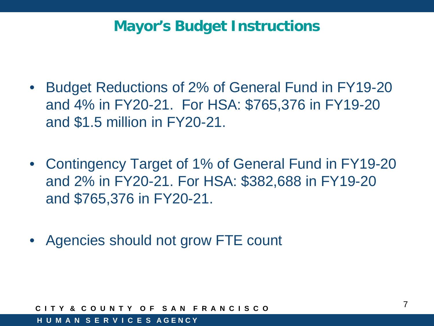## **Mayor's Budget Instructions**

- Budget Reductions of 2% of General Fund in FY19-20 and 4% in FY20-21. For HSA: \$765,376 in FY19-20 and \$1.5 million in FY20-21.
- Contingency Target of 1% of General Fund in FY19-20 and 2% in FY20-21. For HSA: \$382,688 in FY19-20 and \$765,376 in FY20-21.
- Agencies should not grow FTE count

**C I T Y & C O U N T Y O F S A N F R A N C I S C O**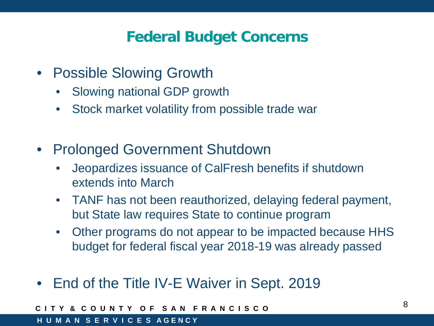## **Federal Budget Concerns**

- Possible Slowing Growth
	- Slowing national GDP growth
	- Stock market volatility from possible trade war
- Prolonged Government Shutdown
	- Jeopardizes issuance of CalFresh benefits if shutdown extends into March
	- TANF has not been reauthorized, delaying federal payment, but State law requires State to continue program
	- Other programs do not appear to be impacted because HHS budget for federal fiscal year 2018-19 was already passed
- End of the Title IV-E Waiver in Sept. 2019

**C I T Y & C O U N T Y O F S A N F R A N C I S C O**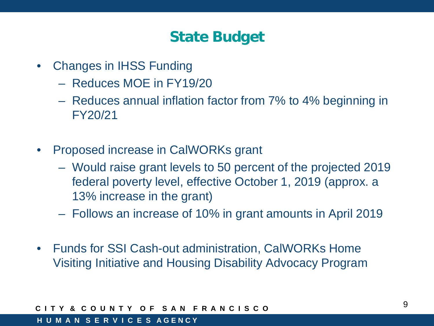## **State Budget**

- Changes in IHSS Funding
	- Reduces MOE in FY19/20
	- Reduces annual inflation factor from 7% to 4% beginning in FY20/21
- Proposed increase in CalWORKs grant
	- Would raise grant levels to 50 percent of the projected 2019 federal poverty level, effective October 1, 2019 (approx. a 13% increase in the grant)
	- Follows an increase of 10% in grant amounts in April 2019
- Funds for SSI Cash-out administration, CalWORKs Home Visiting Initiative and Housing Disability Advocacy Program

#### **C I T Y & C O U N T Y O F S A N F R A N C I S C O**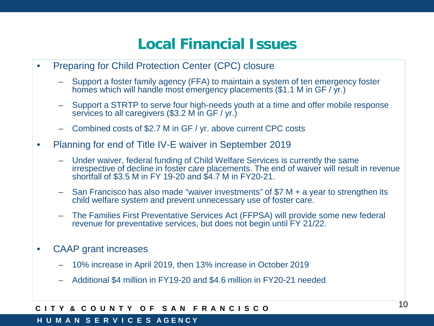## **Local Financial Issues**

- Preparing for Child Protection Center (CPC) closure
	- Support a foster family agency (FFA) to maintain a system of ten emergency foster homes which will handle most emergency placements (\$1.1 M in GF / yr.)
	- Support a STRTP to serve four high-needs youth at a time and offer mobile response services to all caregivers (\$3.2 M in GF / yr.)
	- Combined costs of \$2.7 M in GF / yr. above current CPC costs
- Planning for end of Title IV-E waiver in September 2019
	- Under waiver, federal funding of Child Welfare Services is currently the same irrespective of decline in foster care placements. The end of waiver will result in revenue shortfall of \$3.5 M in FY 19-20 and \$4.7 M in FY20-21.
	- San Francisco has also made "waiver investments" of \$7 M + a year to strengthen its child welfare system and prevent unnecessary use of foster care.
	- The Families First Preventative Services Act (FFPSA) will provide some new federal revenue for preventative services, but does not begin until FY 21/22.
- CAAP grant increases
	- 10% increase in April 2019, then 13% increase in October 2019
	- Additional \$4 million in FY19-20 and \$4.6 million in FY20-21 needed

#### **C I T Y & C O U N T Y O F S A N F R A N C I S C O**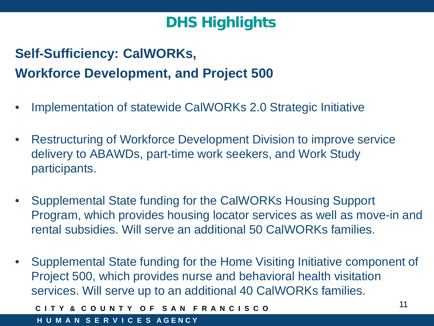# **Self-Sufficiency: CalWORKs, Workforce Development, and Project 500**

- Implementation of statewide CalWORKs 2.0 Strategic Initiative
- Restructuring of Workforce Development Division to improve service delivery to ABAWDs, part-time work seekers, and Work Study participants.
- Supplemental State funding for the CalWORKs Housing Support Program, which provides housing locator services as well as move-in and rental subsidies. Will serve an additional 50 CalWORKs families.
- Supplemental State funding for the Home Visiting Initiative component of Project 500, which provides nurse and behavioral health visitation services. Will serve up to an additional 40 CalWORKs families.

Y & COUNTY OF SAN FRANCISCO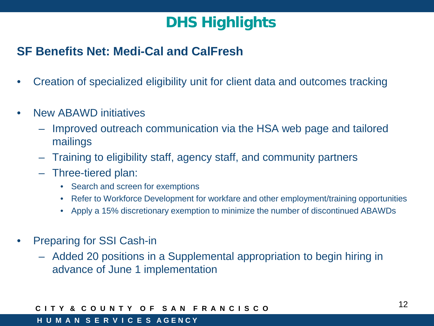### **SF Benefits Net: Medi-Cal and CalFresh**

- Creation of specialized eligibility unit for client data and outcomes tracking
- New ABAWD initiatives
	- Improved outreach communication via the HSA web page and tailored mailings
	- Training to eligibility staff, agency staff, and community partners
	- Three-tiered plan:
		- Search and screen for exemptions
		- Refer to Workforce Development for workfare and other employment/training opportunities
		- Apply a 15% discretionary exemption to minimize the number of discontinued ABAWDs
- Preparing for SSI Cash-in
	- Added 20 positions in a Supplemental appropriation to begin hiring in advance of June 1 implementation

#### **C I T Y & C O U N T Y O F S A N F R A N C I S C O**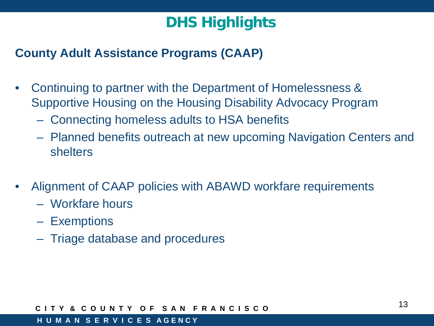### **County Adult Assistance Programs (CAAP)**

- Continuing to partner with the Department of Homelessness & Supportive Housing on the Housing Disability Advocacy Program
	- Connecting homeless adults to HSA benefits
	- Planned benefits outreach at new upcoming Navigation Centers and shelters
- Alignment of CAAP policies with ABAWD workfare requirements
	- Workfare hours
	- Exemptions
	- Triage database and procedures

#### **C I T Y & C O U N T Y O F S A N F R A N C I S C O**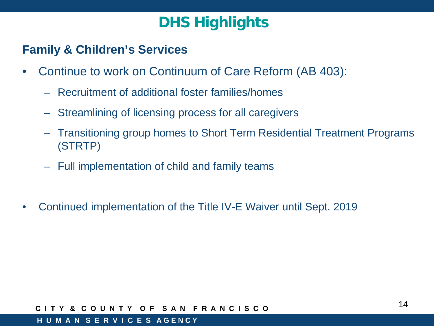### **Family & Children's Services**

- Continue to work on Continuum of Care Reform (AB 403):
	- Recruitment of additional foster families/homes
	- Streamlining of licensing process for all caregivers
	- Transitioning group homes to Short Term Residential Treatment Programs (STRTP)
	- Full implementation of child and family teams
- Continued implementation of the Title IV-E Waiver until Sept. 2019

#### **C I T Y & C O U N T Y O F S A N F R A N C I S C O**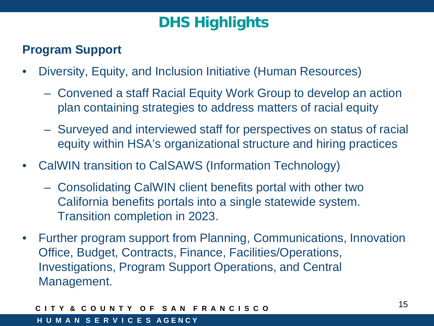### **Program Support**

- Diversity, Equity, and Inclusion Initiative (Human Resources)
	- Convened a staff Racial Equity Work Group to develop an action plan containing strategies to address matters of racial equity
	- Surveyed and interviewed staff for perspectives on status of racial equity within HSA's organizational structure and hiring practices
- CalWIN transition to CalSAWS (Information Technology)
	- Consolidating CalWIN client benefits portal with other two California benefits portals into a single statewide system. Transition completion in 2023.
- Further program support from Planning, Communications, Innovation Office, Budget, Contracts, Finance, Facilities/Operations, Investigations, Program Support Operations, and Central Management.